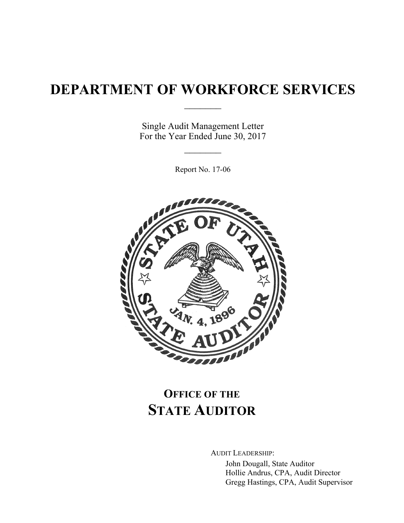# **DEPARTMENT OF WORKFORCE SERVICES**

 $\frac{1}{2}$ 

Single Audit Management Letter For the Year Ended June 30, 2017

 $\frac{1}{2}$ 

Report No. 17-06



# **OFFICE OF THE STATE AUDITOR**

AUDIT LEADERSHIP:

John Dougall, State Auditor Hollie Andrus, CPA, Audit Director Gregg Hastings, CPA, Audit Supervisor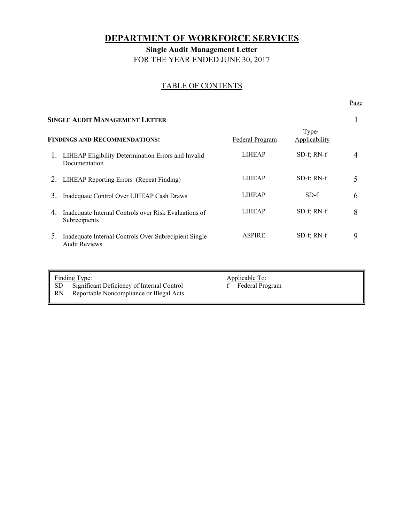# **DEPARTMENT OF WORKFORCE SERVICES**

**Single Audit Management Letter**  FOR THE YEAR ENDED JUNE 30, 2017

# TABLE OF CONTENTS

Page **Page** 

| <b>SINGLE AUDIT MANAGEMENT LETTER</b> |                                                                               |                 |                        |   |
|---------------------------------------|-------------------------------------------------------------------------------|-----------------|------------------------|---|
| <b>FINDINGS AND RECOMMENDATIONS:</b>  |                                                                               | Federal Program | Type/<br>Applicability |   |
| 1.                                    | LIHEAP Eligibility Determination Errors and Invalid<br>Documentation          | <b>LIHEAP</b>   | SD-f; RN-f             | 4 |
| 2.                                    | LIHEAP Reporting Errors (Repeat Finding)                                      | <b>LIHEAP</b>   | $SD-f$ ; RN- $f$       | 5 |
| 3.                                    | Inadequate Control Over LIHEAP Cash Draws                                     | <b>LIHEAP</b>   | $SD-f$                 | 6 |
| 4.                                    | Inadequate Internal Controls over Risk Evaluations of<br>Subrecipients        | <b>LIHEAP</b>   | $SD-f$ ; RN- $f$       | 8 |
| 5.                                    | Inadequate Internal Controls Over Subrecipient Single<br><b>Audit Reviews</b> | <b>ASPIRE</b>   | $SD-f$ ; RN- $f$       | 9 |
|                                       |                                                                               |                 |                        |   |

Finding Type:<br>
SD Significant Deficiency of Internal Control<br>
f Federal Program Significant Deficiency of Internal Control RN Reportable Noncompliance or Illegal Acts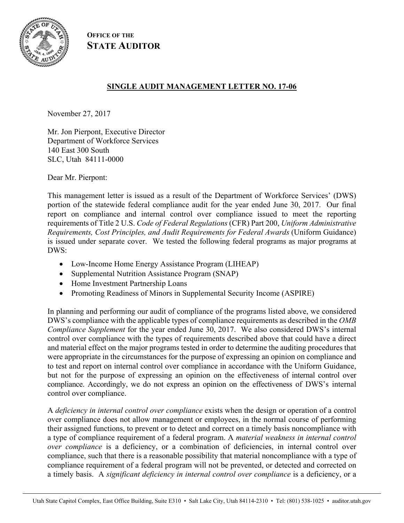

**OFFICE OF THE STATE AUDITOR**

# **SINGLE AUDIT MANAGEMENT LETTER NO. 17-06**

November 27, 2017

Mr. Jon Pierpont, Executive Director Department of Workforce Services 140 East 300 South SLC, Utah 84111-0000

Dear Mr. Pierpont:

This management letter is issued as a result of the Department of Workforce Services' (DWS) portion of the statewide federal compliance audit for the year ended June 30, 2017. Our final report on compliance and internal control over compliance issued to meet the reporting requirements of Title 2 U.S. *Code of Federal Regulations* (CFR) Part 200, *Uniform Administrative Requirements, Cost Principles, and Audit Requirements for Federal Awards* (Uniform Guidance) is issued under separate cover. We tested the following federal programs as major programs at DWS:

- Low-Income Home Energy Assistance Program (LIHEAP)
- Supplemental Nutrition Assistance Program (SNAP)
- Home Investment Partnership Loans
- Promoting Readiness of Minors in Supplemental Security Income (ASPIRE)

In planning and performing our audit of compliance of the programs listed above, we considered DWS's compliance with the applicable types of compliance requirements as described in the *OMB Compliance Supplement* for the year ended June 30, 2017. We also considered DWS's internal control over compliance with the types of requirements described above that could have a direct and material effect on the major programs tested in order to determine the auditing procedures that were appropriate in the circumstances for the purpose of expressing an opinion on compliance and to test and report on internal control over compliance in accordance with the Uniform Guidance, but not for the purpose of expressing an opinion on the effectiveness of internal control over compliance. Accordingly, we do not express an opinion on the effectiveness of DWS's internal control over compliance.

A *deficiency in internal control over compliance* exists when the design or operation of a control over compliance does not allow management or employees, in the normal course of performing their assigned functions, to prevent or to detect and correct on a timely basis noncompliance with a type of compliance requirement of a federal program. A *material weakness in internal control over compliance* is a deficiency, or a combination of deficiencies, in internal control over compliance, such that there is a reasonable possibility that material noncompliance with a type of compliance requirement of a federal program will not be prevented, or detected and corrected on a timely basis. A *significant deficiency in internal control over compliance* is a deficiency, or a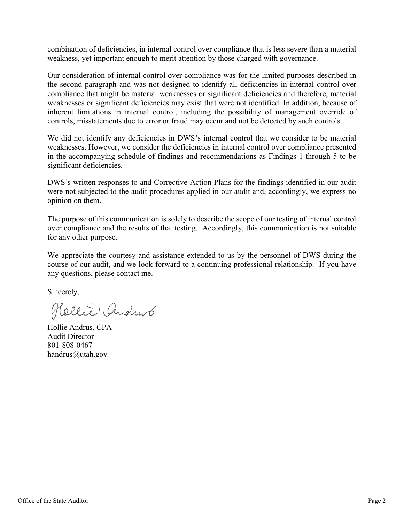combination of deficiencies, in internal control over compliance that is less severe than a material weakness, yet important enough to merit attention by those charged with governance.

Our consideration of internal control over compliance was for the limited purposes described in the second paragraph and was not designed to identify all deficiencies in internal control over compliance that might be material weaknesses or significant deficiencies and therefore, material weaknesses or significant deficiencies may exist that were not identified. In addition, because of inherent limitations in internal control, including the possibility of management override of controls, misstatements due to error or fraud may occur and not be detected by such controls.

We did not identify any deficiencies in DWS's internal control that we consider to be material weaknesses. However, we consider the deficiencies in internal control over compliance presented in the accompanying schedule of findings and recommendations as Findings 1 through 5 to be significant deficiencies.

DWS's written responses to and Corrective Action Plans for the findings identified in our audit were not subjected to the audit procedures applied in our audit and, accordingly, we express no opinion on them.

The purpose of this communication is solely to describe the scope of our testing of internal control over compliance and the results of that testing. Accordingly, this communication is not suitable for any other purpose.

We appreciate the courtesy and assistance extended to us by the personnel of DWS during the course of our audit, and we look forward to a continuing professional relationship. If you have any questions, please contact me.

Sincerely,

Hollie Andrus

Hollie Andrus, CPA Audit Director 801-808-0467 handrus@utah.gov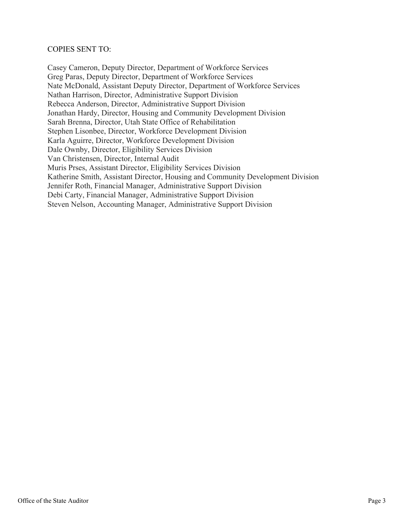#### COPIES SENT TO:

Casey Cameron, Deputy Director, Department of Workforce Services Greg Paras, Deputy Director, Department of Workforce Services Nate McDonald, Assistant Deputy Director, Department of Workforce Services Nathan Harrison, Director, Administrative Support Division Rebecca Anderson, Director, Administrative Support Division Jonathan Hardy, Director, Housing and Community Development Division Sarah Brenna, Director, Utah State Office of Rehabilitation Stephen Lisonbee, Director, Workforce Development Division Karla Aguirre, Director, Workforce Development Division Dale Ownby, Director, Eligibility Services Division Van Christensen, Director, Internal Audit Muris Prses, Assistant Director, Eligibility Services Division Katherine Smith, Assistant Director, Housing and Community Development Division Jennifer Roth, Financial Manager, Administrative Support Division Debi Carty, Financial Manager, Administrative Support Division Steven Nelson, Accounting Manager, Administrative Support Division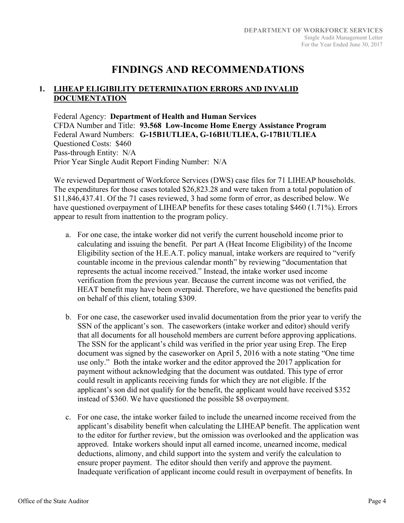# **FINDINGS AND RECOMMENDATIONS**

# **1. LIHEAP ELIGIBILITY DETERMINATION ERRORS AND INVALID DOCUMENTATION**

Federal Agency: **Department of Health and Human Services**  CFDA Number and Title: **93.568 Low-Income Home Energy Assistance Program**  Federal Award Numbers: **G-15B1UTLIEA, G-16B1UTLIEA, G-17B1UTLIEA**  Questioned Costs: \$460 Pass-through Entity: N/A Prior Year Single Audit Report Finding Number: N/A

We reviewed Department of Workforce Services (DWS) case files for 71 LIHEAP households. The expenditures for those cases totaled \$26,823.28 and were taken from a total population of \$11,846,437.41. Of the 71 cases reviewed, 3 had some form of error, as described below. We have questioned overpayment of LIHEAP benefits for these cases totaling \$460 (1.71%). Errors appear to result from inattention to the program policy.

- a. For one case, the intake worker did not verify the current household income prior to calculating and issuing the benefit. Per part A (Heat Income Eligibility) of the Income Eligibility section of the H.E.A.T. policy manual, intake workers are required to "verify countable income in the previous calendar month" by reviewing "documentation that represents the actual income received." Instead, the intake worker used income verification from the previous year. Because the current income was not verified, the HEAT benefit may have been overpaid. Therefore, we have questioned the benefits paid on behalf of this client, totaling \$309.
- b. For one case, the caseworker used invalid documentation from the prior year to verify the SSN of the applicant's son. The caseworkers (intake worker and editor) should verify that all documents for all household members are current before approving applications. The SSN for the applicant's child was verified in the prior year using Erep. The Erep document was signed by the caseworker on April 5, 2016 with a note stating "One time use only." Both the intake worker and the editor approved the 2017 application for payment without acknowledging that the document was outdated. This type of error could result in applicants receiving funds for which they are not eligible. If the applicant's son did not qualify for the benefit, the applicant would have received \$352 instead of \$360. We have questioned the possible \$8 overpayment.
- c. For one case, the intake worker failed to include the unearned income received from the applicant's disability benefit when calculating the LIHEAP benefit. The application went to the editor for further review, but the omission was overlooked and the application was approved. Intake workers should input all earned income, unearned income, medical deductions, alimony, and child support into the system and verify the calculation to ensure proper payment. The editor should then verify and approve the payment. Inadequate verification of applicant income could result in overpayment of benefits. In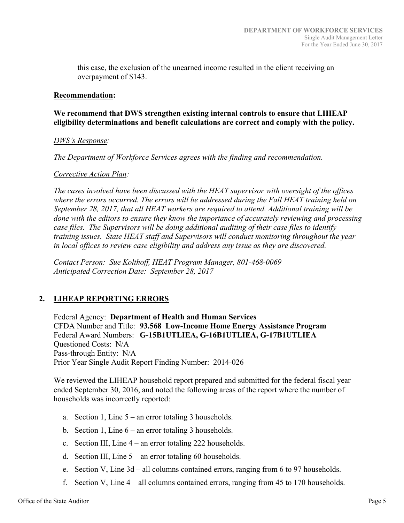this case, the exclusion of the unearned income resulted in the client receiving an overpayment of \$143.

#### **Recommendation:**

## **We recommend that DWS strengthen existing internal controls to ensure that LIHEAP eligibility determinations and benefit calculations are correct and comply with the policy.**

#### *DWS's Response:*

*The Department of Workforce Services agrees with the finding and recommendation.* 

#### *Corrective Action Plan:*

*The cases involved have been discussed with the HEAT supervisor with oversight of the offices where the errors occurred. The errors will be addressed during the Fall HEAT training held on September 28, 2017, that all HEAT workers are required to attend. Additional training will be done with the editors to ensure they know the importance of accurately reviewing and processing case files. The Supervisors will be doing additional auditing of their case files to identify training issues. State HEAT staff and Supervisors will conduct monitoring throughout the year in local offices to review case eligibility and address any issue as they are discovered.* 

*Contact Person: Sue Kolthoff, HEAT Program Manager, 801-468-0069 Anticipated Correction Date: September 28, 2017*

# **2. LIHEAP REPORTING ERRORS**

Federal Agency: **Department of Health and Human Services**  CFDA Number and Title: **93.568 Low-Income Home Energy Assistance Program**  Federal Award Numbers: **G-15B1UTLIEA, G-16B1UTLIEA, G-17B1UTLIEA**  Questioned Costs: N/A Pass-through Entity: N/A Prior Year Single Audit Report Finding Number: 2014-026

We reviewed the LIHEAP household report prepared and submitted for the federal fiscal year ended September 30, 2016, and noted the following areas of the report where the number of households was incorrectly reported:

- a. Section 1, Line 5 an error totaling 3 households.
- b. Section 1, Line  $6-$  an error totaling 3 households.
- c. Section III, Line 4 an error totaling 222 households.
- d. Section III, Line 5 an error totaling 60 households.
- e. Section V, Line 3d all columns contained errors, ranging from 6 to 97 households.
- f. Section V, Line  $4$  all columns contained errors, ranging from 45 to 170 households.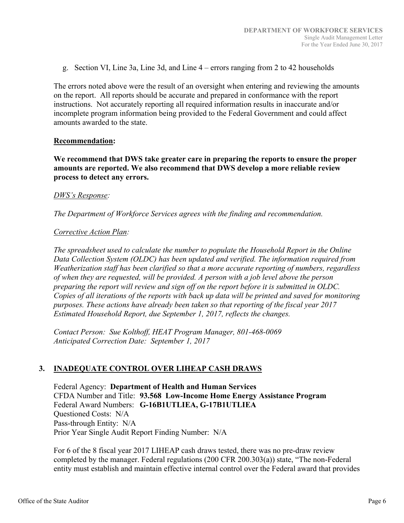g. Section VI, Line 3a, Line 3d, and Line 4 – errors ranging from 2 to 42 households

The errors noted above were the result of an oversight when entering and reviewing the amounts on the report. All reports should be accurate and prepared in conformance with the report instructions. Not accurately reporting all required information results in inaccurate and/or incomplete program information being provided to the Federal Government and could affect amounts awarded to the state.

#### **Recommendation:**

**We recommend that DWS take greater care in preparing the reports to ensure the proper amounts are reported. We also recommend that DWS develop a more reliable review process to detect any errors.**

#### *DWS's Response:*

*The Department of Workforce Services agrees with the finding and recommendation.* 

#### *Corrective Action Plan:*

*The spreadsheet used to calculate the number to populate the Household Report in the Online Data Collection System (OLDC) has been updated and verified. The information required from Weatherization staff has been clarified so that a more accurate reporting of numbers, regardless of when they are requested, will be provided. A person with a job level above the person preparing the report will review and sign off on the report before it is submitted in OLDC. Copies of all iterations of the reports with back up data will be printed and saved for monitoring purposes. These actions have already been taken so that reporting of the fiscal year 2017 Estimated Household Report, due September 1, 2017, reflects the changes.* 

*Contact Person: Sue Kolthoff, HEAT Program Manager, 801-468-0069 Anticipated Correction Date: September 1, 2017*

# **3. INADEQUATE CONTROL OVER LIHEAP CASH DRAWS**

Federal Agency: **Department of Health and Human Services**  CFDA Number and Title: **93.568 Low-Income Home Energy Assistance Program**  Federal Award Numbers: **G-16B1UTLIEA, G-17B1UTLIEA**  Questioned Costs: N/A Pass-through Entity: N/A Prior Year Single Audit Report Finding Number: N/A

For 6 of the 8 fiscal year 2017 LIHEAP cash draws tested, there was no pre-draw review completed by the manager. Federal regulations (200 CFR 200.303(a)) state, "The non-Federal entity must establish and maintain effective internal control over the Federal award that provides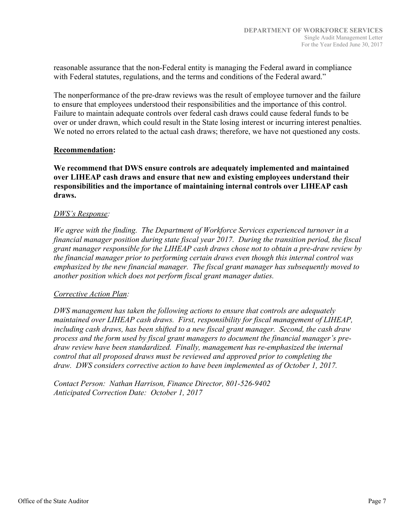reasonable assurance that the non-Federal entity is managing the Federal award in compliance with Federal statutes, regulations, and the terms and conditions of the Federal award."

The nonperformance of the pre-draw reviews was the result of employee turnover and the failure to ensure that employees understood their responsibilities and the importance of this control. Failure to maintain adequate controls over federal cash draws could cause federal funds to be over or under drawn, which could result in the State losing interest or incurring interest penalties. We noted no errors related to the actual cash draws; therefore, we have not questioned any costs.

#### **Recommendation:**

**We recommend that DWS ensure controls are adequately implemented and maintained over LIHEAP cash draws and ensure that new and existing employees understand their responsibilities and the importance of maintaining internal controls over LIHEAP cash draws.** 

### *DWS's Response:*

*We agree with the finding. The Department of Workforce Services experienced turnover in a financial manager position during state fiscal year 2017. During the transition period, the fiscal grant manager responsible for the LIHEAP cash draws chose not to obtain a pre-draw review by the financial manager prior to performing certain draws even though this internal control was emphasized by the new financial manager. The fiscal grant manager has subsequently moved to another position which does not perform fiscal grant manager duties.*

#### *Corrective Action Plan:*

*DWS management has taken the following actions to ensure that controls are adequately maintained over LIHEAP cash draws. First, responsibility for fiscal management of LIHEAP, including cash draws, has been shifted to a new fiscal grant manager. Second, the cash draw process and the form used by fiscal grant managers to document the financial manager's predraw review have been standardized. Finally, management has re-emphasized the internal control that all proposed draws must be reviewed and approved prior to completing the draw. DWS considers corrective action to have been implemented as of October 1, 2017.* 

*Contact Person: Nathan Harrison, Finance Director, 801-526-9402 Anticipated Correction Date: October 1, 2017*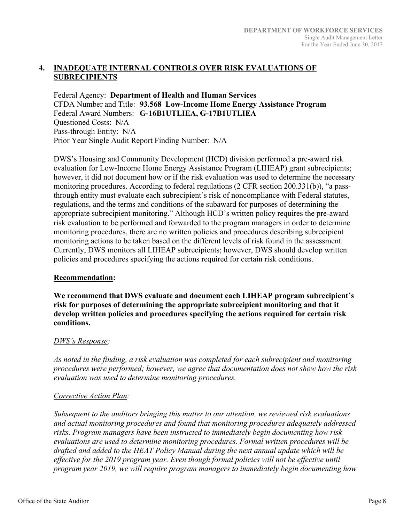# **4. INADEQUATE INTERNAL CONTROLS OVER RISK EVALUATIONS OF SUBRECIPIENTS**

Federal Agency: **Department of Health and Human Services**  CFDA Number and Title: **93.568 Low-Income Home Energy Assistance Program**  Federal Award Numbers: **G-16B1UTLIEA, G-17B1UTLIEA**  Questioned Costs: N/A Pass-through Entity: N/A Prior Year Single Audit Report Finding Number: N/A

DWS's Housing and Community Development (HCD) division performed a pre-award risk evaluation for Low-Income Home Energy Assistance Program (LIHEAP) grant subrecipients; however, it did not document how or if the risk evaluation was used to determine the necessary monitoring procedures. According to federal regulations (2 CFR section 200.331(b)), "a passthrough entity must evaluate each subrecipient's risk of noncompliance with Federal statutes, regulations, and the terms and conditions of the subaward for purposes of determining the appropriate subrecipient monitoring." Although HCD's written policy requires the pre-award risk evaluation to be performed and forwarded to the program managers in order to determine monitoring procedures, there are no written policies and procedures describing subrecipient monitoring actions to be taken based on the different levels of risk found in the assessment. Currently, DWS monitors all LIHEAP subrecipients; however, DWS should develop written policies and procedures specifying the actions required for certain risk conditions.

# **Recommendation:**

**We recommend that DWS evaluate and document each LIHEAP program subrecipient's risk for purposes of determining the appropriate subrecipient monitoring and that it develop written policies and procedures specifying the actions required for certain risk conditions.** 

# *DWS's Response:*

*As noted in the finding, a risk evaluation was completed for each subrecipient and monitoring procedures were performed; however, we agree that documentation does not show how the risk evaluation was used to determine monitoring procedures.* 

# *Corrective Action Plan:*

*Subsequent to the auditors bringing this matter to our attention, we reviewed risk evaluations and actual monitoring procedures and found that monitoring procedures adequately addressed risks. Program managers have been instructed to immediately begin documenting how risk evaluations are used to determine monitoring procedures. Formal written procedures will be drafted and added to the HEAT Policy Manual during the next annual update which will be effective for the 2019 program year. Even though formal policies will not be effective until program year 2019, we will require program managers to immediately begin documenting how*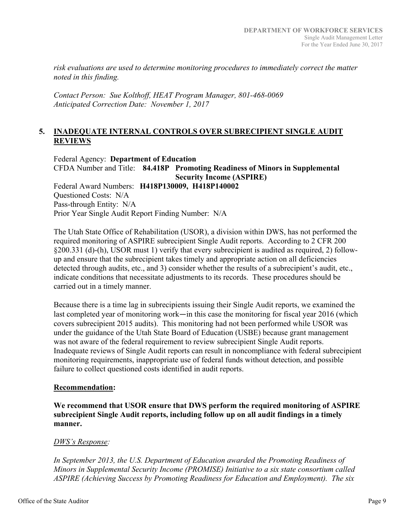*risk evaluations are used to determine monitoring procedures to immediately correct the matter noted in this finding.* 

*Contact Person: Sue Kolthoff, HEAT Program Manager, 801-468-0069 Anticipated Correction Date: November 1, 2017* 

### **5. INADEQUATE INTERNAL CONTROLS OVER SUBRECIPIENT SINGLE AUDIT REVIEWS**

Federal Agency: **Department of Education**  CFDA Number and Title: **84.418P Promoting Readiness of Minors in Supplemental Security Income (ASPIRE)**  Federal Award Numbers: **H418P130009, H418P140002**  Questioned Costs: N/A Pass-through Entity: N/A Prior Year Single Audit Report Finding Number: N/A

The Utah State Office of Rehabilitation (USOR), a division within DWS, has not performed the required monitoring of ASPIRE subrecipient Single Audit reports. According to 2 CFR 200 §200.331 (d)-(h), USOR must 1) verify that every subrecipient is audited as required, 2) followup and ensure that the subrecipient takes timely and appropriate action on all deficiencies detected through audits, etc., and 3) consider whether the results of a subrecipient's audit, etc., indicate conditions that necessitate adjustments to its records. These procedures should be carried out in a timely manner.

Because there is a time lag in subrecipients issuing their Single Audit reports, we examined the last completed year of monitoring work—in this case the monitoring for fiscal year 2016 (which covers subrecipient 2015 audits). This monitoring had not been performed while USOR was under the guidance of the Utah State Board of Education (USBE) because grant management was not aware of the federal requirement to review subrecipient Single Audit reports. Inadequate reviews of Single Audit reports can result in noncompliance with federal subrecipient monitoring requirements, inappropriate use of federal funds without detection, and possible failure to collect questioned costs identified in audit reports.

#### **Recommendation:**

**We recommend that USOR ensure that DWS perform the required monitoring of ASPIRE subrecipient Single Audit reports, including follow up on all audit findings in a timely manner.** 

#### *DWS's Response:*

*In September 2013, the U.S. Department of Education awarded the Promoting Readiness of Minors in Supplemental Security Income (PROMISE) Initiative to a six state consortium called ASPIRE (Achieving Success by Promoting Readiness for Education and Employment). The six*